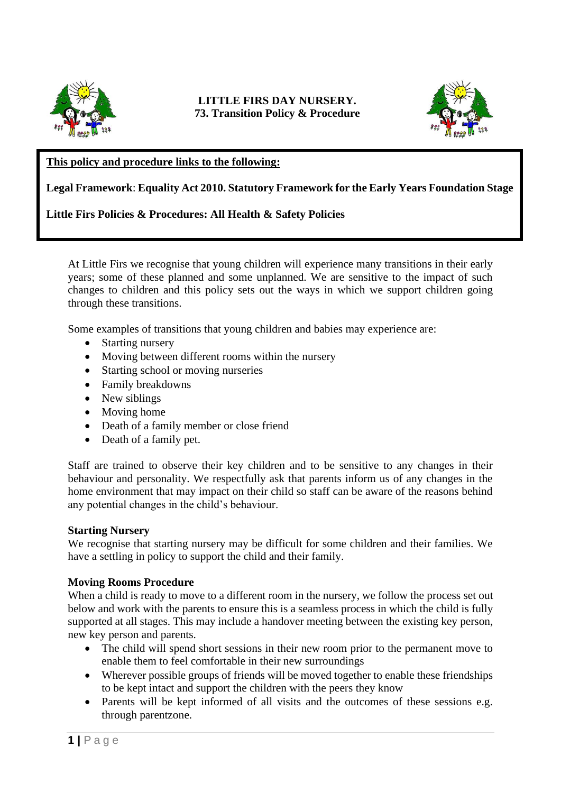

# **LITTLE FIRS DAY NURSERY. 73. Transition Policy & Procedure**



### **This policy and procedure links to the following:**

### **Legal Framework**: **Equality Act 2010. Statutory Framework for the Early Years Foundation Stage**

### **Little Firs Policies & Procedures: All Health & Safety Policies**

At Little Firs we recognise that young children will experience many transitions in their early years; some of these planned and some unplanned. We are sensitive to the impact of such changes to children and this policy sets out the ways in which we support children going through these transitions.

Some examples of transitions that young children and babies may experience are:

- Starting nursery
- Moving between different rooms within the nursery
- Starting school or moving nurseries
- Family breakdowns
- New siblings
- Moving home
- Death of a family member or close friend
- Death of a family pet.

Staff are trained to observe their key children and to be sensitive to any changes in their behaviour and personality. We respectfully ask that parents inform us of any changes in the home environment that may impact on their child so staff can be aware of the reasons behind any potential changes in the child's behaviour.

### **Starting Nursery**

We recognise that starting nursery may be difficult for some children and their families. We have a settling in policy to support the child and their family.

### **Moving Rooms Procedure**

When a child is ready to move to a different room in the nursery, we follow the process set out below and work with the parents to ensure this is a seamless process in which the child is fully supported at all stages. This may include a handover meeting between the existing key person, new key person and parents.

- The child will spend short sessions in their new room prior to the permanent move to enable them to feel comfortable in their new surroundings
- Wherever possible groups of friends will be moved together to enable these friendships to be kept intact and support the children with the peers they know
- Parents will be kept informed of all visits and the outcomes of these sessions e.g. through parentzone.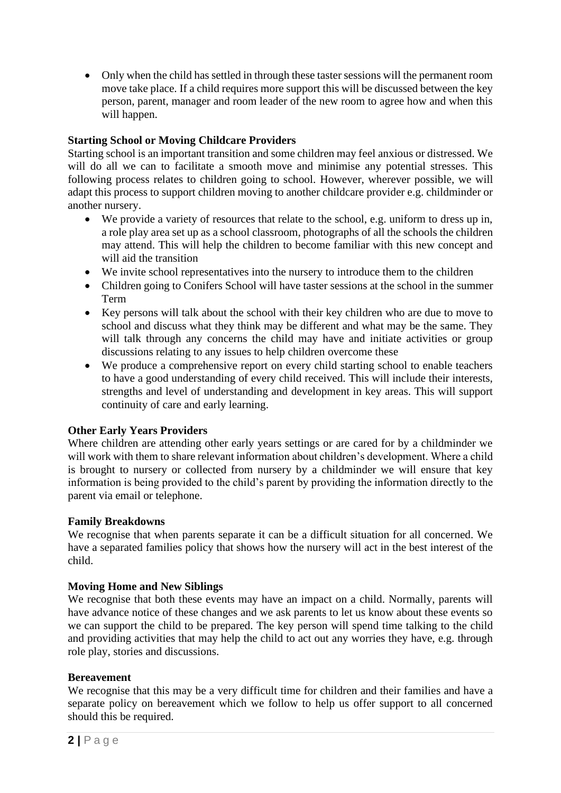• Only when the child has settled in through these taster sessions will the permanent room move take place. If a child requires more support this will be discussed between the key person, parent, manager and room leader of the new room to agree how and when this will happen.

# **Starting School or Moving Childcare Providers**

Starting school is an important transition and some children may feel anxious or distressed. We will do all we can to facilitate a smooth move and minimise any potential stresses. This following process relates to children going to school. However, wherever possible, we will adapt this process to support children moving to another childcare provider e.g. childminder or another nursery.

- We provide a variety of resources that relate to the school, e.g. uniform to dress up in, a role play area set up as a school classroom, photographs of all the schools the children may attend. This will help the children to become familiar with this new concept and will aid the transition
- We invite school representatives into the nursery to introduce them to the children
- Children going to Conifers School will have taster sessions at the school in the summer Term
- Key persons will talk about the school with their key children who are due to move to school and discuss what they think may be different and what may be the same. They will talk through any concerns the child may have and initiate activities or group discussions relating to any issues to help children overcome these
- We produce a comprehensive report on every child starting school to enable teachers to have a good understanding of every child received. This will include their interests, strengths and level of understanding and development in key areas. This will support continuity of care and early learning.

# **Other Early Years Providers**

Where children are attending other early years settings or are cared for by a childminder we will work with them to share relevant information about children's development. Where a child is brought to nursery or collected from nursery by a childminder we will ensure that key information is being provided to the child's parent by providing the information directly to the parent via email or telephone.

# **Family Breakdowns**

We recognise that when parents separate it can be a difficult situation for all concerned. We have a separated families policy that shows how the nursery will act in the best interest of the child.

# **Moving Home and New Siblings**

We recognise that both these events may have an impact on a child. Normally, parents will have advance notice of these changes and we ask parents to let us know about these events so we can support the child to be prepared. The key person will spend time talking to the child and providing activities that may help the child to act out any worries they have, e.g. through role play, stories and discussions.

# **Bereavement**

We recognise that this may be a very difficult time for children and their families and have a separate policy on bereavement which we follow to help us offer support to all concerned should this be required.